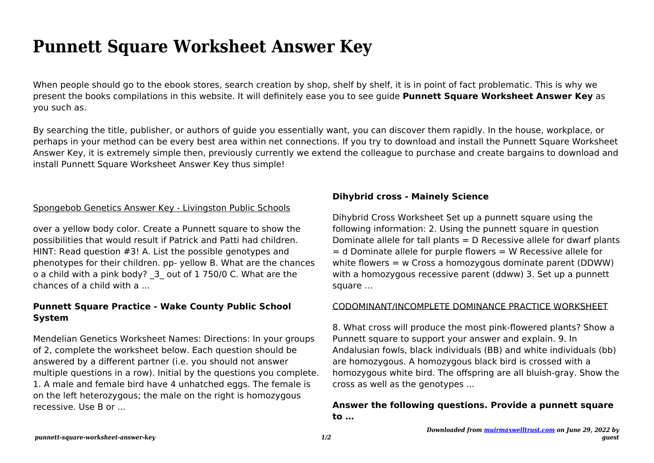# **Punnett Square Worksheet Answer Key**

When people should go to the ebook stores, search creation by shop, shelf by shelf, it is in point of fact problematic. This is why we present the books compilations in this website. It will definitely ease you to see guide **Punnett Square Worksheet Answer Key** as you such as.

By searching the title, publisher, or authors of guide you essentially want, you can discover them rapidly. In the house, workplace, or perhaps in your method can be every best area within net connections. If you try to download and install the Punnett Square Worksheet Answer Key, it is extremely simple then, previously currently we extend the colleague to purchase and create bargains to download and install Punnett Square Worksheet Answer Key thus simple!

### Spongebob Genetics Answer Key - Livingston Public Schools

over a yellow body color. Create a Punnett square to show the possibilities that would result if Patrick and Patti had children. HINT: Read question #3! A. List the possible genotypes and phenotypes for their children. pp- yellow B. What are the chances o a child with a pink body? \_3\_ out of 1 750/0 C. What are the chances of a child with a ...

## **Punnett Square Practice - Wake County Public School System**

Mendelian Genetics Worksheet Names: Directions: In your groups of 2, complete the worksheet below. Each question should be answered by a different partner (i.e. you should not answer multiple questions in a row). Initial by the questions you complete. 1. A male and female bird have 4 unhatched eggs. The female is on the left heterozygous; the male on the right is homozygous recessive. Use B or ...

## **Dihybrid cross - Mainely Science**

Dihybrid Cross Worksheet Set up a punnett square using the following information: 2. Using the punnett square in question Dominate allele for tall plants = D Recessive allele for dwarf plants  $=$  d Dominate allele for purple flowers  $=$  W Recessive allele for white flowers = w Cross a homozygous dominate parent (DDWW) with a homozygous recessive parent (ddww) 3. Set up a punnett square …

#### CODOMINANT/INCOMPLETE DOMINANCE PRACTICE WORKSHEET

8. What cross will produce the most pink-flowered plants? Show a Punnett square to support your answer and explain. 9. In Andalusian fowls, black individuals (BB) and white individuals (bb) are homozygous. A homozygous black bird is crossed with a homozygous white bird. The offspring are all bluish-gray. Show the cross as well as the genotypes ...

# **Answer the following questions. Provide a punnett square to …**